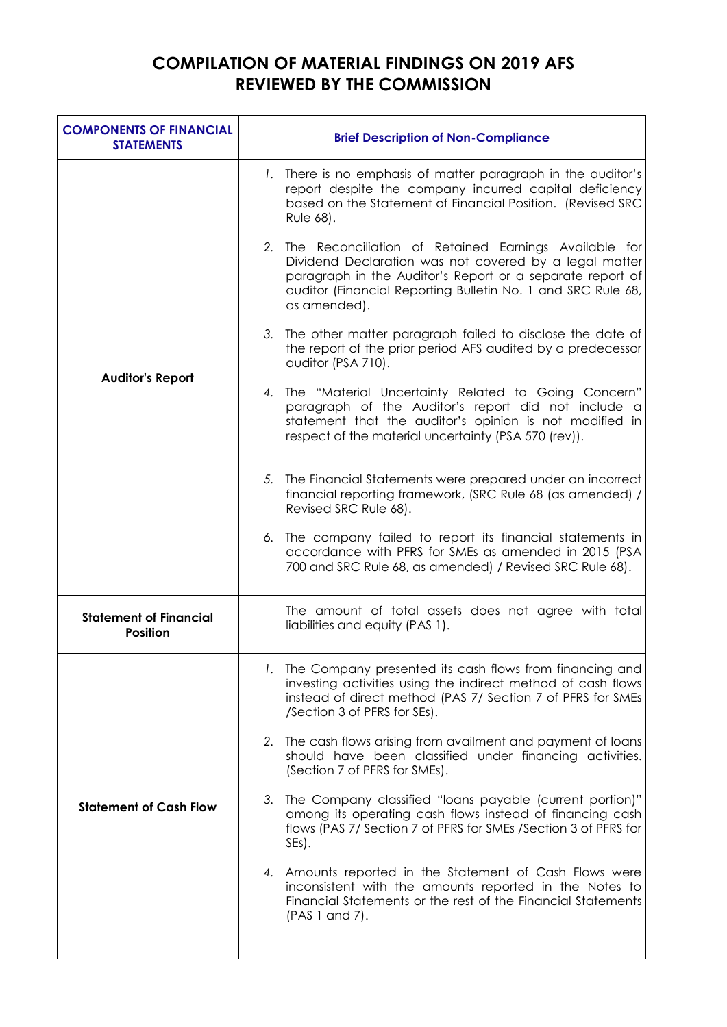## **COMPILATION OF MATERIAL FINDINGS ON 2019 AFS REVIEWED BY THE COMMISSION**

| <b>COMPONENTS OF FINANCIAL</b><br><b>STATEMENTS</b> | <b>Brief Description of Non-Compliance</b>                                                                                                                                                                                                                      |
|-----------------------------------------------------|-----------------------------------------------------------------------------------------------------------------------------------------------------------------------------------------------------------------------------------------------------------------|
| <b>Auditor's Report</b>                             | 1. There is no emphasis of matter paragraph in the auditor's<br>report despite the company incurred capital deficiency<br>based on the Statement of Financial Position. (Revised SRC<br>Rule 68).                                                               |
|                                                     | 2. The Reconciliation of Retained Earnings Available for<br>Dividend Declaration was not covered by a legal matter<br>paragraph in the Auditor's Report or a separate report of<br>auditor (Financial Reporting Bulletin No. 1 and SRC Rule 68,<br>as amended). |
|                                                     | 3. The other matter paragraph failed to disclose the date of<br>the report of the prior period AFS audited by a predecessor<br>auditor (PSA 710).                                                                                                               |
|                                                     | 4. The "Material Uncertainty Related to Going Concern"<br>paragraph of the Auditor's report did not include a<br>statement that the auditor's opinion is not modified in<br>respect of the material uncertainty (PSA 570 (rev)).                                |
|                                                     | 5. The Financial Statements were prepared under an incorrect<br>financial reporting framework, (SRC Rule 68 (as amended) /<br>Revised SRC Rule 68).                                                                                                             |
|                                                     | 6. The company failed to report its financial statements in<br>accordance with PFRS for SMEs as amended in 2015 (PSA<br>700 and SRC Rule 68, as amended) / Revised SRC Rule 68).                                                                                |
| <b>Statement of Financial</b><br><b>Position</b>    | The amount of total assets does not agree with total<br>liabilities and equity (PAS 1).                                                                                                                                                                         |
| <b>Statement of Cash Flow</b>                       | 1. The Company presented its cash flows from financing and<br>investing activities using the indirect method of cash flows<br>instead of direct method (PAS 7/ Section 7 of PFRS for SMEs<br>/Section 3 of PFRS for SEs).                                       |
|                                                     | 2. The cash flows arising from availment and payment of loans<br>should have been classified under financing activities.<br>(Section 7 of PFRS for SMEs).                                                                                                       |
|                                                     | 3. The Company classified "loans payable (current portion)"<br>among its operating cash flows instead of financing cash<br>flows (PAS 7/ Section 7 of PFRS for SMEs / Section 3 of PFRS for<br>SEs).                                                            |
|                                                     | 4. Amounts reported in the Statement of Cash Flows were<br>inconsistent with the amounts reported in the Notes to<br>Financial Statements or the rest of the Financial Statements<br>(PAS 1 and 7).                                                             |
|                                                     |                                                                                                                                                                                                                                                                 |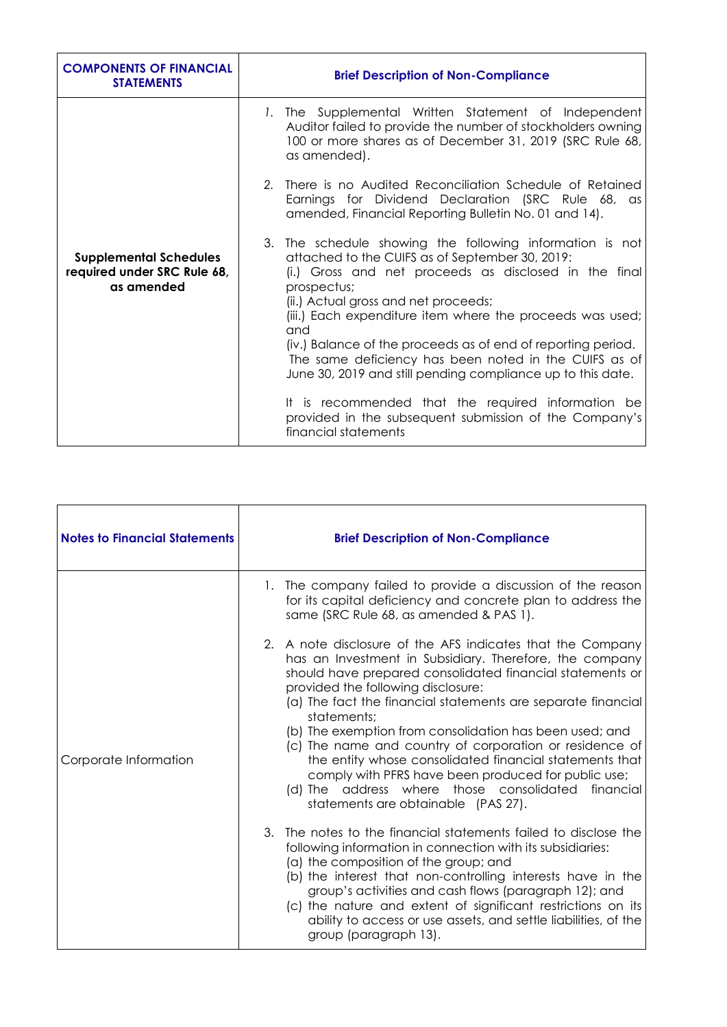| <b>COMPONENTS OF FINANCIAL</b><br><b>STATEMENTS</b>                        | <b>Brief Description of Non-Compliance</b>                                                                                                                                                                                                                                                      |
|----------------------------------------------------------------------------|-------------------------------------------------------------------------------------------------------------------------------------------------------------------------------------------------------------------------------------------------------------------------------------------------|
| <b>Supplemental Schedules</b><br>required under SRC Rule 68,<br>as amended | 1. The Supplemental Written Statement of Independent<br>Auditor failed to provide the number of stockholders owning<br>100 or more shares as of December 31, 2019 (SRC Rule 68,<br>as amended).                                                                                                 |
|                                                                            | 2. There is no Audited Reconciliation Schedule of Retained<br>Earnings for Dividend Declaration (SRC Rule 68, as<br>amended, Financial Reporting Bulletin No. 01 and 14).                                                                                                                       |
|                                                                            | 3. The schedule showing the following information is not<br>attached to the CUIFS as of September 30, 2019:<br>(i.) Gross and net proceeds as disclosed in the final<br>prospectus;<br>(ii.) Actual gross and net proceeds;<br>(iii.) Each expenditure item where the proceeds was used;<br>and |
|                                                                            | (iv.) Balance of the proceeds as of end of reporting period.<br>The same deficiency has been noted in the CUIFS as of<br>June 30, 2019 and still pending compliance up to this date.                                                                                                            |
|                                                                            | It is recommended that the required information be<br>provided in the subsequent submission of the Company's<br>financial statements                                                                                                                                                            |

| <b>Notes to Financial Statements</b> | <b>Brief Description of Non-Compliance</b>                                                                                                                                                                                                                                                                                                                                                                                                                                                                                                                                                                                                                                                                                                                                                                                                                                                                                                                                                                                                                                                                                                                                                                                                                 |
|--------------------------------------|------------------------------------------------------------------------------------------------------------------------------------------------------------------------------------------------------------------------------------------------------------------------------------------------------------------------------------------------------------------------------------------------------------------------------------------------------------------------------------------------------------------------------------------------------------------------------------------------------------------------------------------------------------------------------------------------------------------------------------------------------------------------------------------------------------------------------------------------------------------------------------------------------------------------------------------------------------------------------------------------------------------------------------------------------------------------------------------------------------------------------------------------------------------------------------------------------------------------------------------------------------|
| Corporate Information                | 1. The company failed to provide a discussion of the reason<br>for its capital deficiency and concrete plan to address the<br>same (SRC Rule 68, as amended & PAS 1).<br>2. A note disclosure of the AFS indicates that the Company<br>has an Investment in Subsidiary. Therefore, the company<br>should have prepared consolidated financial statements or<br>provided the following disclosure:<br>(a) The fact the financial statements are separate financial<br>statements;<br>(b) The exemption from consolidation has been used; and<br>(c) The name and country of corporation or residence of<br>the entity whose consolidated financial statements that<br>comply with PFRS have been produced for public use;<br>(d) The address where those consolidated financial<br>statements are obtainable (PAS 27).<br>3. The notes to the financial statements failed to disclose the<br>following information in connection with its subsidiaries:<br>(a) the composition of the group; and<br>(b) the interest that non-controlling interests have in the<br>group's activities and cash flows (paragraph 12); and<br>(c) the nature and extent of significant restrictions on its<br>ability to access or use assets, and settle liabilities, of the |
|                                      | group (paragraph 13).                                                                                                                                                                                                                                                                                                                                                                                                                                                                                                                                                                                                                                                                                                                                                                                                                                                                                                                                                                                                                                                                                                                                                                                                                                      |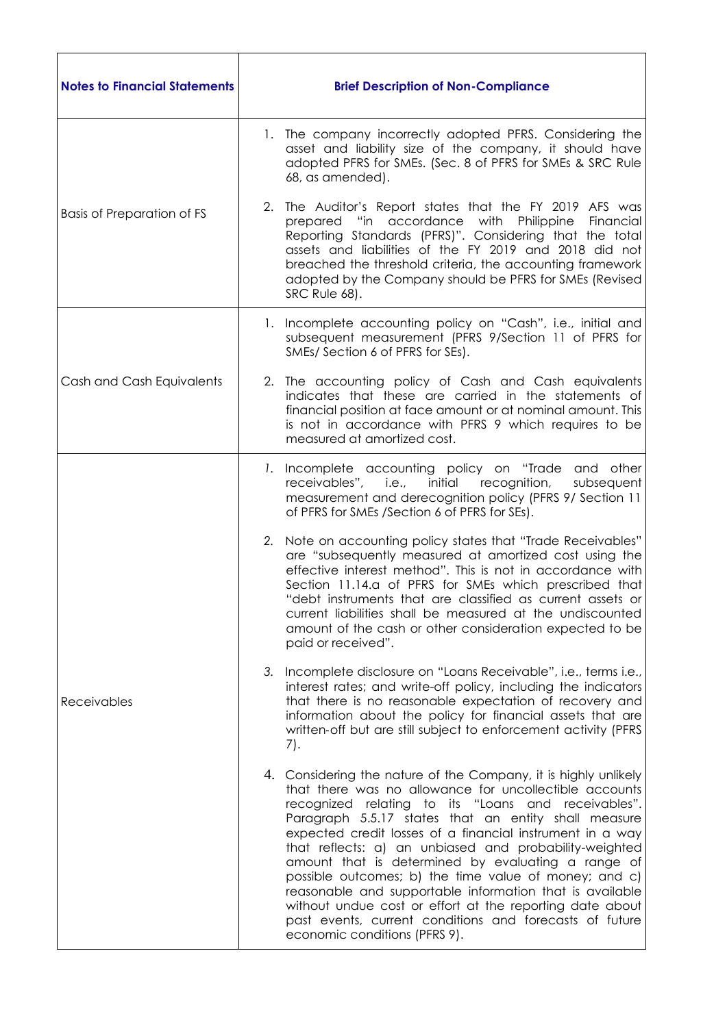| <b>Notes to Financial Statements</b> | <b>Brief Description of Non-Compliance</b>                                                                                                                                                                                                                                                                                                                                                                                                                                                                                                                                                                                                                                                         |
|--------------------------------------|----------------------------------------------------------------------------------------------------------------------------------------------------------------------------------------------------------------------------------------------------------------------------------------------------------------------------------------------------------------------------------------------------------------------------------------------------------------------------------------------------------------------------------------------------------------------------------------------------------------------------------------------------------------------------------------------------|
| <b>Basis of Preparation of FS</b>    | 1. The company incorrectly adopted PFRS. Considering the<br>asset and liability size of the company, it should have<br>adopted PFRS for SMEs. (Sec. 8 of PFRS for SMEs & SRC Rule<br>68, as amended).                                                                                                                                                                                                                                                                                                                                                                                                                                                                                              |
|                                      | The Auditor's Report states that the FY 2019 AFS was<br>2.<br>prepared "in accordance with Philippine<br>Financial<br>Reporting Standards (PFRS)". Considering that the total<br>assets and liabilities of the FY 2019 and 2018 did not<br>breached the threshold criteria, the accounting framework<br>adopted by the Company should be PFRS for SMEs (Revised<br>SRC Rule 68).                                                                                                                                                                                                                                                                                                                   |
|                                      | 1. Incomplete accounting policy on "Cash", i.e., initial and<br>subsequent measurement (PFRS 9/Section 11 of PFRS for<br>SMEs/ Section 6 of PFRS for SEs).                                                                                                                                                                                                                                                                                                                                                                                                                                                                                                                                         |
| Cash and Cash Equivalents            | 2. The accounting policy of Cash and Cash equivalents<br>indicates that these are carried in the statements of<br>financial position at face amount or at nominal amount. This<br>is not in accordance with PFRS 9 which requires to be<br>measured at amortized cost.                                                                                                                                                                                                                                                                                                                                                                                                                             |
| Receivables                          | 1. Incomplete accounting policy on "Trade and other<br>receivables", i.e.,<br>initial recognition,<br>subsequent<br>measurement and derecognition policy (PFRS 9/ Section 11<br>of PFRS for SMEs /Section 6 of PFRS for SEs).                                                                                                                                                                                                                                                                                                                                                                                                                                                                      |
|                                      | 2. Note on accounting policy states that "Trade Receivables"<br>are "subsequently measured at amortized cost using the<br>effective interest method". This is not in accordance with<br>Section 11.14.a of PFRS for SMEs which prescribed that<br>"debt instruments that are classified as current assets or<br>current liabilities shall be measured at the undiscounted<br>amount of the cash or other consideration expected to be<br>paid or received".                                                                                                                                                                                                                                        |
|                                      | 3. Incomplete disclosure on "Loans Receivable", i.e., terms i.e.,<br>interest rates; and write-off policy, including the indicators<br>that there is no reasonable expectation of recovery and<br>information about the policy for financial assets that are<br>written-off but are still subject to enforcement activity (PFRS<br>7).                                                                                                                                                                                                                                                                                                                                                             |
|                                      | 4. Considering the nature of the Company, it is highly unlikely<br>that there was no allowance for uncollectible accounts<br>recognized relating to its "Loans and receivables".<br>Paragraph 5.5.17 states that an entity shall measure<br>expected credit losses of a financial instrument in a way<br>that reflects: a) an unbiased and probability-weighted<br>amount that is determined by evaluating a range of<br>possible outcomes; b) the time value of money; and c)<br>reasonable and supportable information that is available<br>without undue cost or effort at the reporting date about<br>past events, current conditions and forecasts of future<br>economic conditions (PFRS 9). |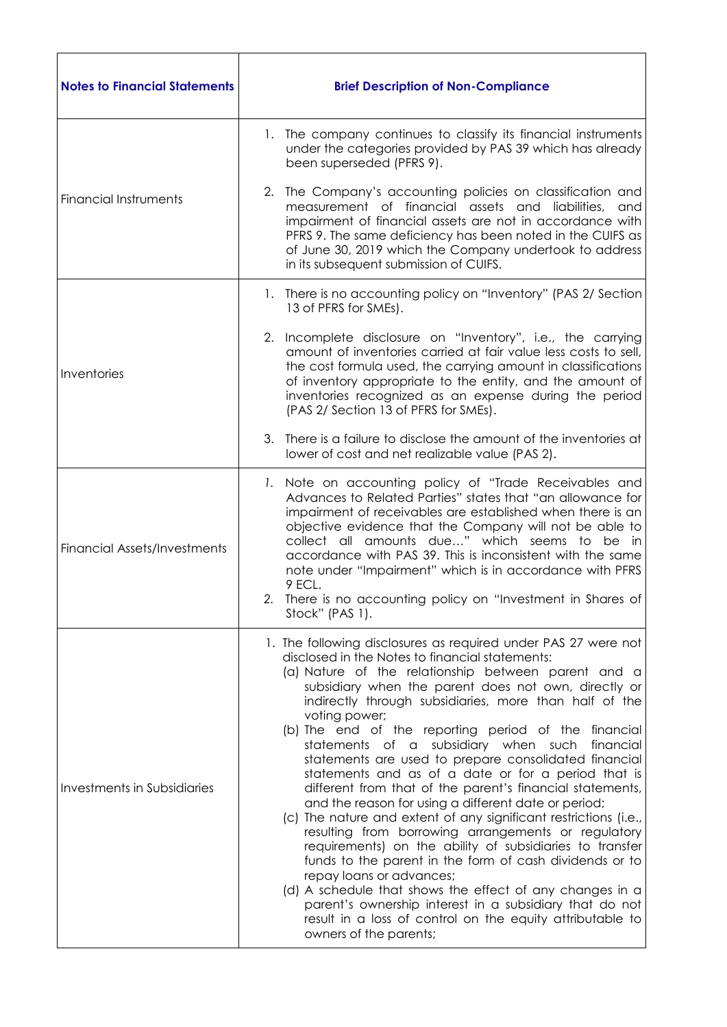| <b>Notes to Financial Statements</b> | <b>Brief Description of Non-Compliance</b>                                                                                                                                                                                                                                                                                                                                                                                                                                                                                                                                                                                                                                                                                                                                                                                                                                                                                                                                                                                                                                                                                                                |
|--------------------------------------|-----------------------------------------------------------------------------------------------------------------------------------------------------------------------------------------------------------------------------------------------------------------------------------------------------------------------------------------------------------------------------------------------------------------------------------------------------------------------------------------------------------------------------------------------------------------------------------------------------------------------------------------------------------------------------------------------------------------------------------------------------------------------------------------------------------------------------------------------------------------------------------------------------------------------------------------------------------------------------------------------------------------------------------------------------------------------------------------------------------------------------------------------------------|
|                                      | 1. The company continues to classify its financial instruments<br>under the categories provided by PAS 39 which has already<br>been superseded (PFRS 9).                                                                                                                                                                                                                                                                                                                                                                                                                                                                                                                                                                                                                                                                                                                                                                                                                                                                                                                                                                                                  |
| <b>Financial Instruments</b>         | The Company's accounting policies on classification and<br>2.<br>measurement of financial assets and liabilities, and<br>impairment of financial assets are not in accordance with<br>PFRS 9. The same deficiency has been noted in the CUIFS as<br>of June 30, 2019 which the Company undertook to address<br>in its subsequent submission of CUIFS.                                                                                                                                                                                                                                                                                                                                                                                                                                                                                                                                                                                                                                                                                                                                                                                                     |
|                                      | 1. There is no accounting policy on "Inventory" (PAS 2/ Section<br>13 of PFRS for SMEs).                                                                                                                                                                                                                                                                                                                                                                                                                                                                                                                                                                                                                                                                                                                                                                                                                                                                                                                                                                                                                                                                  |
| Inventories                          | 2. Incomplete disclosure on "Inventory", i.e., the carrying<br>amount of inventories carried at fair value less costs to sell,<br>the cost formula used, the carrying amount in classifications<br>of inventory appropriate to the entity, and the amount of<br>inventories recognized as an expense during the period<br>(PAS 2/ Section 13 of PFRS for SMEs).                                                                                                                                                                                                                                                                                                                                                                                                                                                                                                                                                                                                                                                                                                                                                                                           |
|                                      | There is a failure to disclose the amount of the inventories at<br>3.<br>lower of cost and net realizable value (PAS 2).                                                                                                                                                                                                                                                                                                                                                                                                                                                                                                                                                                                                                                                                                                                                                                                                                                                                                                                                                                                                                                  |
| <b>Financial Assets/Investments</b>  | 1. Note on accounting policy of "Trade Receivables and<br>Advances to Related Parties" states that "an allowance for<br>impairment of receivables are established when there is an<br>objective evidence that the Company will not be able to<br>collect all amounts due" which seems to be in<br>accordance with PAS 39. This is inconsistent with the same<br>note under "Impairment" which is in accordance with PFRS<br>9 ECL.<br>2. There is no accounting policy on "Investment in Shares of<br>Stock" (PAS 1).                                                                                                                                                                                                                                                                                                                                                                                                                                                                                                                                                                                                                                     |
| Investments in Subsidiaries          | 1. The following disclosures as required under PAS 27 were not<br>disclosed in the Notes to financial statements:<br>(a) Nature of the relationship between parent and a<br>subsidiary when the parent does not own, directly or<br>indirectly through subsidiaries, more than half of the<br>voting power;<br>(b) The end of the reporting period of the financial<br>statements of a subsidiary when such<br>financial<br>statements are used to prepare consolidated financial<br>statements and as of a date or for a period that is<br>different from that of the parent's financial statements,<br>and the reason for using a different date or period;<br>(c) The nature and extent of any significant restrictions (i.e.,<br>resulting from borrowing arrangements or regulatory<br>requirements) on the ability of subsidiaries to transfer<br>funds to the parent in the form of cash dividends or to<br>repay loans or advances;<br>(d) A schedule that shows the effect of any changes in a<br>parent's ownership interest in a subsidiary that do not<br>result in a loss of control on the equity attributable to<br>owners of the parents; |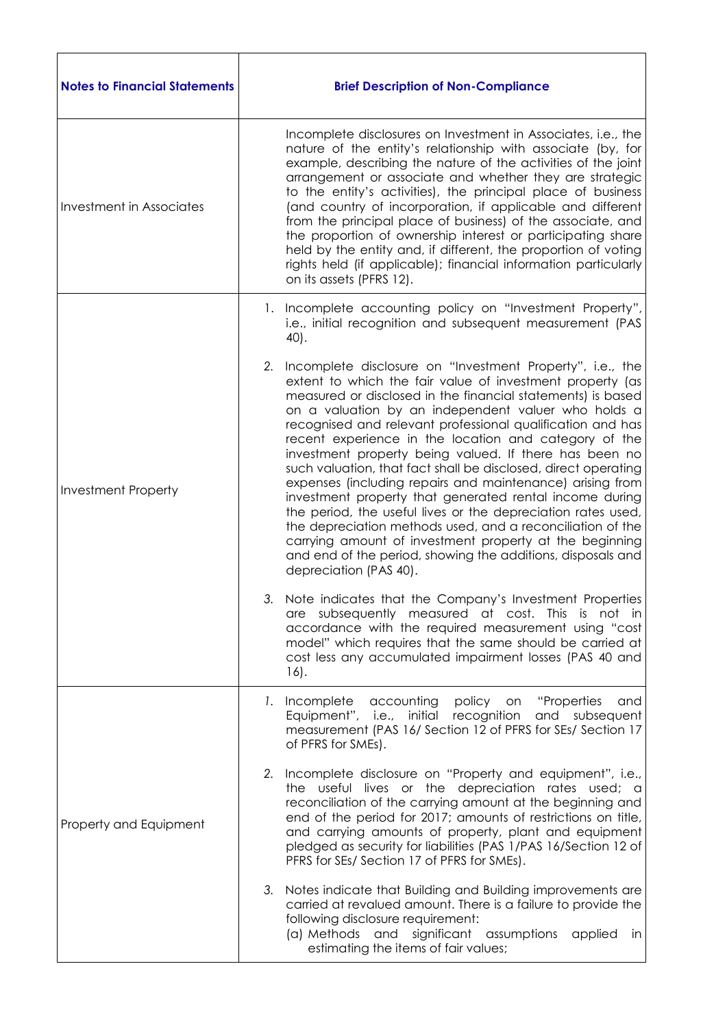| <b>Notes to Financial Statements</b> | <b>Brief Description of Non-Compliance</b>                                                                                                                                                                                                                                                                                                                                                                                                                                                                                                                                                                                                                                                                                                                                                                                                                                                                      |
|--------------------------------------|-----------------------------------------------------------------------------------------------------------------------------------------------------------------------------------------------------------------------------------------------------------------------------------------------------------------------------------------------------------------------------------------------------------------------------------------------------------------------------------------------------------------------------------------------------------------------------------------------------------------------------------------------------------------------------------------------------------------------------------------------------------------------------------------------------------------------------------------------------------------------------------------------------------------|
| <b>Investment in Associates</b>      | Incomplete disclosures on Investment in Associates, i.e., the<br>nature of the entity's relationship with associate (by, for<br>example, describing the nature of the activities of the joint<br>arrangement or associate and whether they are strategic<br>to the entity's activities), the principal place of business<br>(and country of incorporation, if applicable and different<br>from the principal place of business) of the associate, and<br>the proportion of ownership interest or participating share<br>held by the entity and, if different, the proportion of voting<br>rights held (if applicable); financial information particularly<br>on its assets (PFRS 12).                                                                                                                                                                                                                           |
|                                      | Incomplete accounting policy on "Investment Property",<br>Ι.<br>i.e., initial recognition and subsequent measurement (PAS<br>40).                                                                                                                                                                                                                                                                                                                                                                                                                                                                                                                                                                                                                                                                                                                                                                               |
| <b>Investment Property</b>           | Incomplete disclosure on "Investment Property", i.e., the<br>2.<br>extent to which the fair value of investment property (as<br>measured or disclosed in the financial statements) is based<br>on a valuation by an independent valuer who holds a<br>recognised and relevant professional qualification and has<br>recent experience in the location and category of the<br>investment property being valued. If there has been no<br>such valuation, that fact shall be disclosed, direct operating<br>expenses (including repairs and maintenance) arising from<br>investment property that generated rental income during<br>the period, the useful lives or the depreciation rates used,<br>the depreciation methods used, and a reconciliation of the<br>carrying amount of investment property at the beginning<br>and end of the period, showing the additions, disposals and<br>depreciation (PAS 40). |
|                                      | 3. Note indicates that the Company's Investment Properties<br>are subsequently measured at cost. This is not in<br>accordance with the required measurement using "cost<br>model" which requires that the same should be carried at<br>cost less any accumulated impairment losses (PAS 40 and<br>$16$ .                                                                                                                                                                                                                                                                                                                                                                                                                                                                                                                                                                                                        |
| Property and Equipment               | policy<br>"Properties<br>1. Incomplete<br>accounting<br>on<br>and<br>Equipment", i.e., initial<br>recognition<br>and subsequent<br>measurement (PAS 16/ Section 12 of PFRS for SEs/ Section 17<br>of PFRS for SMEs).                                                                                                                                                                                                                                                                                                                                                                                                                                                                                                                                                                                                                                                                                            |
|                                      | 2. Incomplete disclosure on "Property and equipment", i.e.,<br>the useful lives or the depreciation rates used; a<br>reconciliation of the carrying amount at the beginning and<br>end of the period for 2017; amounts of restrictions on title,<br>and carrying amounts of property, plant and equipment<br>pledged as security for liabilities (PAS 1/PAS 16/Section 12 of<br>PFRS for SEs/ Section 17 of PFRS for SMEs).                                                                                                                                                                                                                                                                                                                                                                                                                                                                                     |
|                                      | 3. Notes indicate that Building and Building improvements are<br>carried at revalued amount. There is a failure to provide the<br>following disclosure requirement:<br>(a) Methods and significant assumptions<br>applied<br>in<br>estimating the items of fair values;                                                                                                                                                                                                                                                                                                                                                                                                                                                                                                                                                                                                                                         |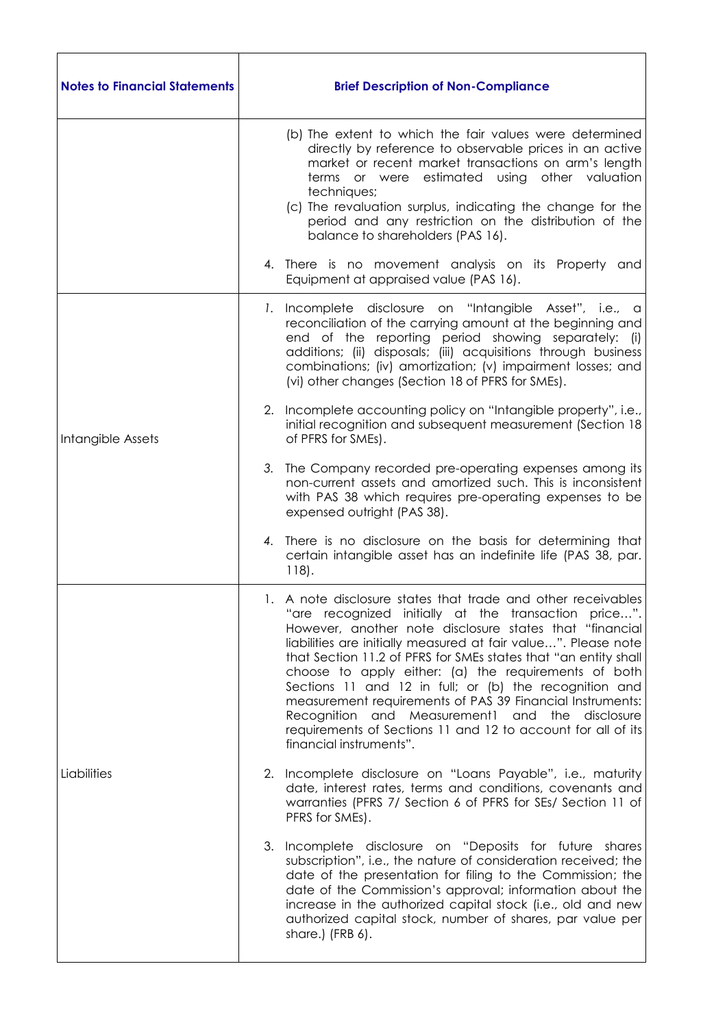| <b>Notes to Financial Statements</b> | <b>Brief Description of Non-Compliance</b>                                                                                                                                                                                                                                                                                                                                                                                                                                                                                                                                                                                                           |
|--------------------------------------|------------------------------------------------------------------------------------------------------------------------------------------------------------------------------------------------------------------------------------------------------------------------------------------------------------------------------------------------------------------------------------------------------------------------------------------------------------------------------------------------------------------------------------------------------------------------------------------------------------------------------------------------------|
|                                      | (b) The extent to which the fair values were determined<br>directly by reference to observable prices in an active<br>market or recent market transactions on arm's length<br>terms or were estimated using other valuation<br>techniques;<br>(c) The revaluation surplus, indicating the change for the<br>period and any restriction on the distribution of the<br>balance to shareholders (PAS 16).                                                                                                                                                                                                                                               |
|                                      | 4. There is no movement analysis on its Property and<br>Equipment at appraised value (PAS 16).                                                                                                                                                                                                                                                                                                                                                                                                                                                                                                                                                       |
| Intangible Assets                    | 1. Incomplete disclosure on "Intangible Asset", i.e., a<br>reconciliation of the carrying amount at the beginning and<br>end of the reporting period showing separately: (i)<br>additions; (ii) disposals; (iii) acquisitions through business<br>combinations; (iv) amortization; (v) impairment losses; and<br>(vi) other changes (Section 18 of PFRS for SMEs).                                                                                                                                                                                                                                                                                   |
|                                      | 2. Incomplete accounting policy on "Intangible property", i.e.,<br>initial recognition and subsequent measurement (Section 18<br>of PFRS for SMEs).                                                                                                                                                                                                                                                                                                                                                                                                                                                                                                  |
|                                      | 3.<br>The Company recorded pre-operating expenses among its<br>non-current assets and amortized such. This is inconsistent<br>with PAS 38 which requires pre-operating expenses to be<br>expensed outright (PAS 38).                                                                                                                                                                                                                                                                                                                                                                                                                                 |
|                                      | There is no disclosure on the basis for determining that<br>4.<br>certain intangible asset has an indefinite life (PAS 38, par.<br>$118$ .                                                                                                                                                                                                                                                                                                                                                                                                                                                                                                           |
| Liabilities                          | 1. A note disclosure states that trade and other receivables<br>"are recognized initially at the transaction price".<br>However, another note disclosure states that "financial<br>liabilities are initially measured at fair value". Please note<br>that Section 11.2 of PFRS for SMEs states that "an entity shall<br>choose to apply either: (a) the requirements of both<br>Sections 11 and 12 in full; or (b) the recognition and<br>measurement requirements of PAS 39 Financial Instruments:<br>Recognition and Measurement1 and the<br>disclosure<br>requirements of Sections 11 and 12 to account for all of its<br>financial instruments". |
|                                      | 2. Incomplete disclosure on "Loans Payable", i.e., maturity<br>date, interest rates, terms and conditions, covenants and<br>warranties (PFRS 7/ Section 6 of PFRS for SEs/ Section 11 of<br>PFRS for SMEs).                                                                                                                                                                                                                                                                                                                                                                                                                                          |
|                                      | 3. Incomplete disclosure on "Deposits for future shares<br>subscription", i.e., the nature of consideration received; the<br>date of the presentation for filing to the Commission; the<br>date of the Commission's approval; information about the<br>increase in the authorized capital stock (i.e., old and new<br>authorized capital stock, number of shares, par value per<br>share.) (FRB 6).                                                                                                                                                                                                                                                  |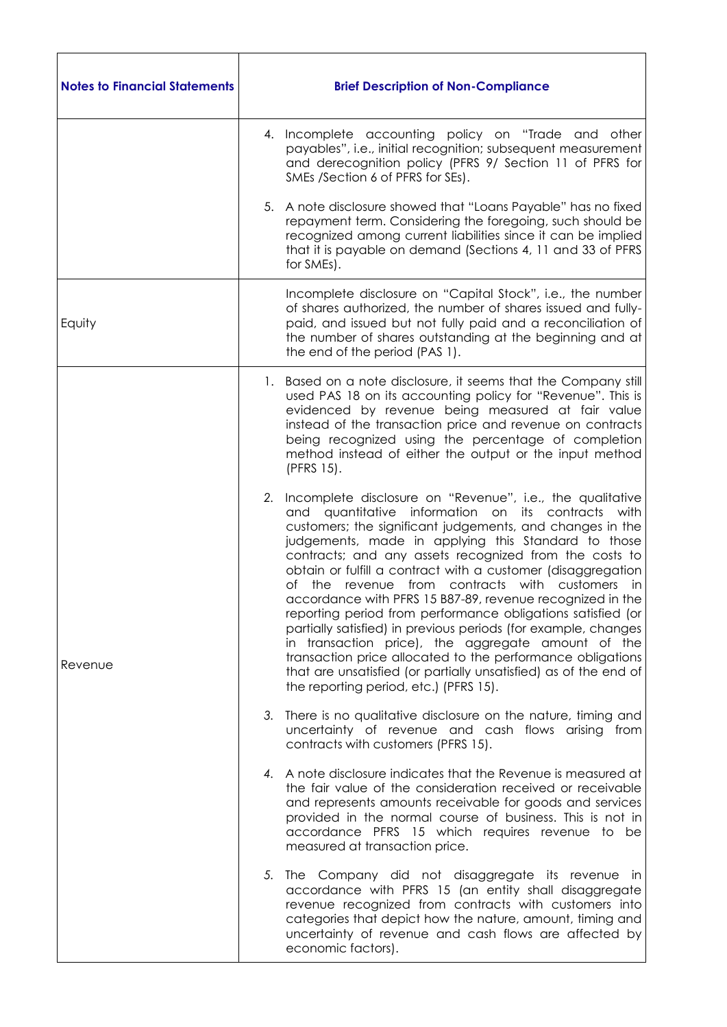| <b>Notes to Financial Statements</b> | <b>Brief Description of Non-Compliance</b>                                                                                                                                                                                                                                                                                                                                                                                                                                                                                                                                                                                                                                                                                                                                                                                                                |
|--------------------------------------|-----------------------------------------------------------------------------------------------------------------------------------------------------------------------------------------------------------------------------------------------------------------------------------------------------------------------------------------------------------------------------------------------------------------------------------------------------------------------------------------------------------------------------------------------------------------------------------------------------------------------------------------------------------------------------------------------------------------------------------------------------------------------------------------------------------------------------------------------------------|
|                                      | 4. Incomplete accounting policy on "Trade and other<br>payables", i.e., initial recognition; subsequent measurement<br>and derecognition policy (PFRS 9/ Section 11 of PFRS for<br>SMEs /Section 6 of PFRS for SEs).                                                                                                                                                                                                                                                                                                                                                                                                                                                                                                                                                                                                                                      |
|                                      | 5. A note disclosure showed that "Loans Payable" has no fixed<br>repayment term. Considering the foregoing, such should be<br>recognized among current liabilities since it can be implied<br>that it is payable on demand (Sections 4, 11 and 33 of PFRS<br>for SMEs).                                                                                                                                                                                                                                                                                                                                                                                                                                                                                                                                                                                   |
| Equity                               | Incomplete disclosure on "Capital Stock", i.e., the number<br>of shares authorized, the number of shares issued and fully-<br>paid, and issued but not fully paid and a reconciliation of<br>the number of shares outstanding at the beginning and at<br>the end of the period (PAS 1).                                                                                                                                                                                                                                                                                                                                                                                                                                                                                                                                                                   |
| Revenue                              | 1. Based on a note disclosure, it seems that the Company still<br>used PAS 18 on its accounting policy for "Revenue". This is<br>evidenced by revenue being measured at fair value<br>instead of the transaction price and revenue on contracts<br>being recognized using the percentage of completion<br>method instead of either the output or the input method<br>(PFRS 15).                                                                                                                                                                                                                                                                                                                                                                                                                                                                           |
|                                      | 2.<br>Incomplete disclosure on "Revenue", i.e., the qualitative<br>and quantitative information on its contracts<br>with<br>customers; the significant judgements, and changes in the<br>judgements, made in applying this Standard to those<br>contracts; and any assets recognized from the costs to<br>obtain or fulfill a contract with a customer (disaggregation<br>of the revenue from contracts with customers in<br>accordance with PFRS 15 B87-89, revenue recognized in the<br>reporting period from performance obligations satisfied (or<br>partially satisfied) in previous periods (for example, changes<br>in transaction price), the aggregate amount of the<br>transaction price allocated to the performance obligations<br>that are unsatisfied (or partially unsatisfied) as of the end of<br>the reporting period, etc.) (PFRS 15). |
|                                      | 3. There is no qualitative disclosure on the nature, timing and<br>uncertainty of revenue and cash flows arising from<br>contracts with customers (PFRS 15).                                                                                                                                                                                                                                                                                                                                                                                                                                                                                                                                                                                                                                                                                              |
|                                      | 4. A note disclosure indicates that the Revenue is measured at<br>the fair value of the consideration received or receivable<br>and represents amounts receivable for goods and services<br>provided in the normal course of business. This is not in<br>accordance PFRS 15 which requires revenue to be<br>measured at transaction price.                                                                                                                                                                                                                                                                                                                                                                                                                                                                                                                |
|                                      | 5. The Company did not disaggregate its revenue in<br>accordance with PFRS 15 (an entity shall disaggregate<br>revenue recognized from contracts with customers into<br>categories that depict how the nature, amount, timing and<br>uncertainty of revenue and cash flows are affected by<br>economic factors).                                                                                                                                                                                                                                                                                                                                                                                                                                                                                                                                          |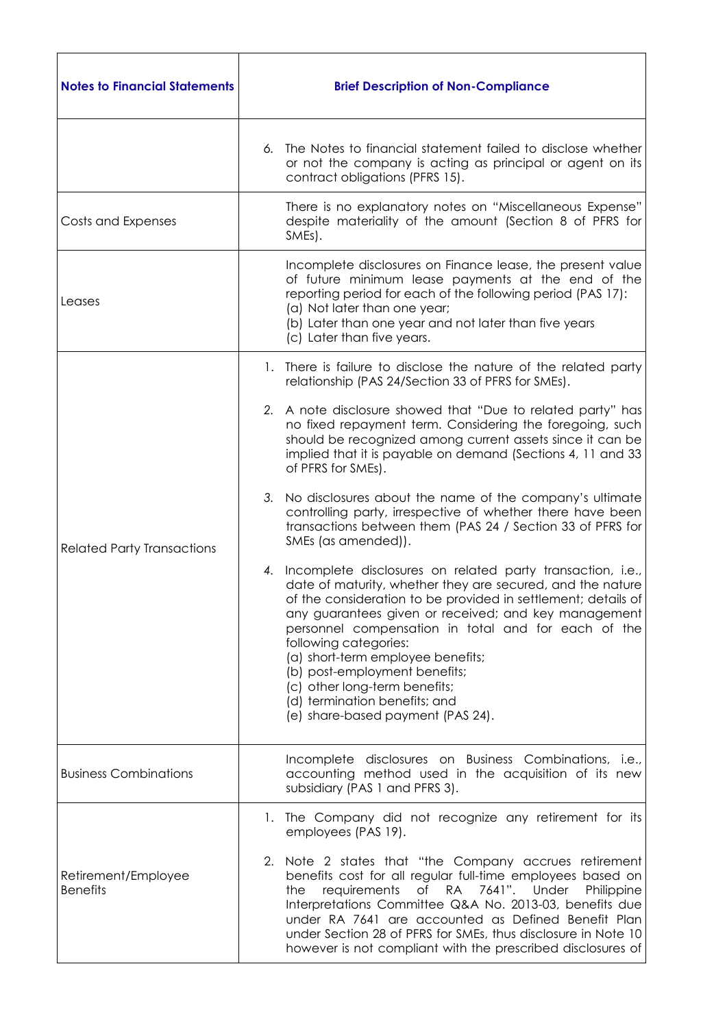| <b>Notes to Financial Statements</b>   | <b>Brief Description of Non-Compliance</b>                                                                                                                                                                                                                                                                                                                                                                                                                                                                           |
|----------------------------------------|----------------------------------------------------------------------------------------------------------------------------------------------------------------------------------------------------------------------------------------------------------------------------------------------------------------------------------------------------------------------------------------------------------------------------------------------------------------------------------------------------------------------|
|                                        | The Notes to financial statement failed to disclose whether<br>6.<br>or not the company is acting as principal or agent on its<br>contract obligations (PFRS 15).                                                                                                                                                                                                                                                                                                                                                    |
| Costs and Expenses                     | There is no explanatory notes on "Miscellaneous Expense"<br>despite materiality of the amount (Section 8 of PFRS for<br>SMEs).                                                                                                                                                                                                                                                                                                                                                                                       |
| Leases                                 | Incomplete disclosures on Finance lease, the present value<br>of future minimum lease payments at the end of the<br>reporting period for each of the following period (PAS 17):<br>(a) Not later than one year;<br>(b) Later than one year and not later than five years<br>(c) Later than five years.                                                                                                                                                                                                               |
|                                        | There is failure to disclose the nature of the related party<br>$\mathbf{L}$<br>relationship (PAS 24/Section 33 of PFRS for SMEs).                                                                                                                                                                                                                                                                                                                                                                                   |
| <b>Related Party Transactions</b>      | 2. A note disclosure showed that "Due to related party" has<br>no fixed repayment term. Considering the foregoing, such<br>should be recognized among current assets since it can be<br>implied that it is payable on demand (Sections 4, 11 and 33<br>of PFRS for SMEs).                                                                                                                                                                                                                                            |
|                                        | 3.<br>No disclosures about the name of the company's ultimate<br>controlling party, irrespective of whether there have been<br>transactions between them (PAS 24 / Section 33 of PFRS for<br>SMEs (as amended)).                                                                                                                                                                                                                                                                                                     |
|                                        | Incomplete disclosures on related party transaction, i.e.,<br>4.<br>date of maturity, whether they are secured, and the nature<br>of the consideration to be provided in settlement; details of<br>any guarantees given or received; and key management<br>personnel compensation in total and for each of the<br>following categories:<br>(a) short-term employee benefits;<br>(b) post-employment benefits;<br>(c) other long-term benefits;<br>(d) termination benefits; and<br>(e) share-based payment (PAS 24). |
| <b>Business Combinations</b>           | Incomplete disclosures on Business Combinations, i.e.,<br>accounting method used in the acquisition of its new<br>subsidiary (PAS 1 and PFRS 3).                                                                                                                                                                                                                                                                                                                                                                     |
| Retirement/Employee<br><b>Benefits</b> | 1. The Company did not recognize any retirement for its<br>employees (PAS 19).                                                                                                                                                                                                                                                                                                                                                                                                                                       |
|                                        | 2. Note 2 states that "the Company accrues retirement<br>benefits cost for all regular full-time employees based on<br>of RA 7641". Under<br>requirements<br>Philippine<br>the<br>Interpretations Committee Q&A No. 2013-03, benefits due<br>under RA 7641 are accounted as Defined Benefit Plan<br>under Section 28 of PFRS for SMEs, thus disclosure in Note 10<br>however is not compliant with the prescribed disclosures of                                                                                     |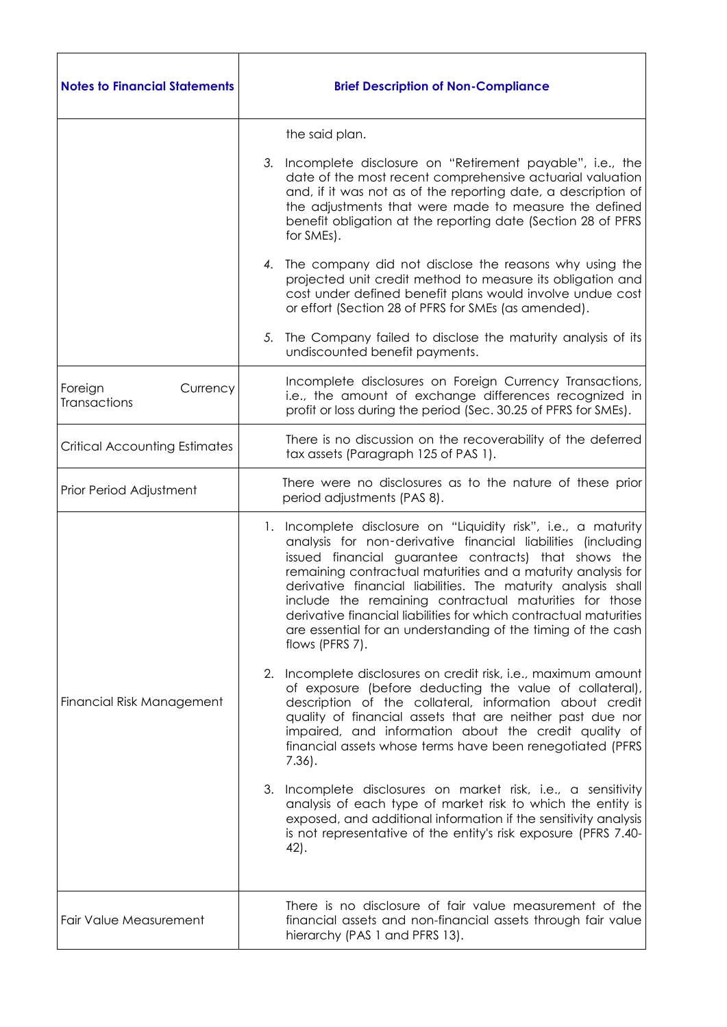| <b>Notes to Financial Statements</b> | <b>Brief Description of Non-Compliance</b>                                                                                                                                                                                                                                                                                                                                                                                                                                                                                                   |
|--------------------------------------|----------------------------------------------------------------------------------------------------------------------------------------------------------------------------------------------------------------------------------------------------------------------------------------------------------------------------------------------------------------------------------------------------------------------------------------------------------------------------------------------------------------------------------------------|
|                                      | the said plan.                                                                                                                                                                                                                                                                                                                                                                                                                                                                                                                               |
|                                      | 3.<br>Incomplete disclosure on "Retirement payable", i.e., the<br>date of the most recent comprehensive actuarial valuation<br>and, if it was not as of the reporting date, a description of<br>the adjustments that were made to measure the defined<br>benefit obligation at the reporting date (Section 28 of PFRS<br>for SMEs).                                                                                                                                                                                                          |
|                                      | The company did not disclose the reasons why using the<br>4.<br>projected unit credit method to measure its obligation and<br>cost under defined benefit plans would involve undue cost<br>or effort (Section 28 of PFRS for SMEs (as amended).                                                                                                                                                                                                                                                                                              |
|                                      | The Company failed to disclose the maturity analysis of its<br>5.<br>undiscounted benefit payments.                                                                                                                                                                                                                                                                                                                                                                                                                                          |
| Foreign<br>Currency<br>Transactions  | Incomplete disclosures on Foreign Currency Transactions,<br>i.e., the amount of exchange differences recognized in<br>profit or loss during the period (Sec. 30.25 of PFRS for SMEs).                                                                                                                                                                                                                                                                                                                                                        |
| <b>Critical Accounting Estimates</b> | There is no discussion on the recoverability of the deferred<br>tax assets (Paragraph 125 of PAS 1).                                                                                                                                                                                                                                                                                                                                                                                                                                         |
| Prior Period Adjustment              | There were no disclosures as to the nature of these prior<br>period adjustments (PAS 8).                                                                                                                                                                                                                                                                                                                                                                                                                                                     |
| Financial Risk Management            | Incomplete disclosure on "Liquidity risk", i.e., a maturity<br>1.<br>analysis for non-derivative financial liabilities (including<br>issued financial guarantee contracts) that shows the<br>remaining contractual maturities and a maturity analysis for<br>derivative financial liabilities. The maturity analysis shall<br>include the remaining contractual maturities for those<br>derivative financial liabilities for which contractual maturities<br>are essential for an understanding of the timing of the cash<br>flows (PFRS 7). |
|                                      | 2. Incomplete disclosures on credit risk, i.e., maximum amount<br>of exposure (before deducting the value of collateral),<br>description of the collateral, information about credit<br>quality of financial assets that are neither past due nor<br>impaired, and information about the credit quality of<br>financial assets whose terms have been renegotiated (PFRS)<br>$7.36$ .                                                                                                                                                         |
|                                      | 3. Incomplete disclosures on market risk, i.e., a sensitivity<br>analysis of each type of market risk to which the entity is<br>exposed, and additional information if the sensitivity analysis<br>is not representative of the entity's risk exposure (PFRS 7.40-<br>42).                                                                                                                                                                                                                                                                   |
| Fair Value Measurement               | There is no disclosure of fair value measurement of the<br>financial assets and non-financial assets through fair value<br>hierarchy (PAS 1 and PFRS 13).                                                                                                                                                                                                                                                                                                                                                                                    |